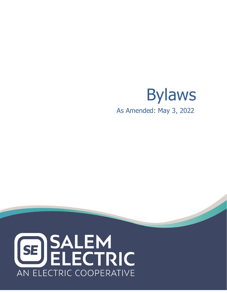# Bylaws **yee Manual** As Amended: May 3, <sup>2022</sup>

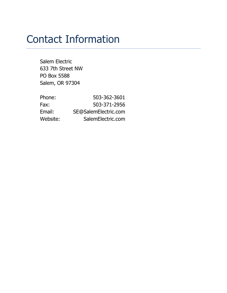## Contact Information

Salem Electric 633 7th Street NW PO Box 5588 Salem, OR 97304

| Phone:   | 503-362-3601         |
|----------|----------------------|
| Fax:     | 503-371-2956         |
| Email:   | SE@SalemElectric.com |
| Website: | SalemElectric.com    |
|          |                      |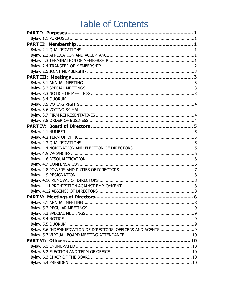## **Table of Contents**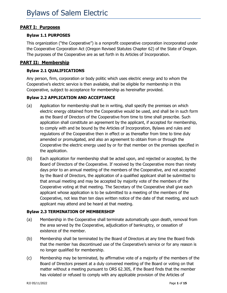#### <span id="page-4-0"></span>**PART I: Purposes**

#### <span id="page-4-1"></span>**Bylaw 1.1 PURPOSES**

This organization ("the Cooperative") is a nonprofit cooperative corporation incorporated under the Cooperative Corporation Act (Oregon Revised Statutes Chapter 62) of the State of Oregon. The purposes of the Cooperative are as set forth in its Articles of Incorporation.

#### <span id="page-4-2"></span>**PART II: Membership**

#### <span id="page-4-3"></span>**Bylaw 2.1 QUALIFICATIONS**

Any person, firm, corporation or body politic which uses electric energy and to whom the Cooperative's electric service is then available, shall be eligible for membership in this Cooperative, subject to acceptance for membership as hereinafter provided.

#### <span id="page-4-4"></span>**Bylaw 2.2 APPLICATION AND ACCEPTANCE**

- (a) Application for membership shall be in writing, shall specify the premises on which electric energy obtained from the Cooperative would be used, and shall be in such form as the Board of Directors of the Cooperative from time to time shall prescribe. Such application shall constitute an agreement by the applicant, if accepted for membership, to comply with and be bound by the Articles of Incorporation, Bylaws and rules and regulations of the Cooperative then in effect or as thereafter from time to time duly amended or promulgated, and also an agreement to obtain from or through the Cooperative the electric energy used by or for that member on the premises specified in the application.
- (b) Each application for membership shall be acted upon, and rejected or accepted, by the Board of Directors of the Cooperative. If received by the Cooperative more than ninety days prior to an annual meeting of the members of the Cooperative, and not accepted by the Board of Directors, the application of a qualified applicant shall be submitted to that annual meeting and may be accepted by majority vote of the members of the Cooperative voting at that meeting. The Secretary of the Cooperative shall give each applicant whose application is to be submitted to a meeting of the members of the Cooperative, not less than ten days written notice of the date of that meeting, and such applicant may attend and be heard at that meeting.

#### <span id="page-4-5"></span>**Bylaw 2.3 TERMINATION OF MEMBERSHIP**

- (a) Membership in the Cooperative shall terminate automatically upon death, removal from the area served by the Cooperative, adjudication of bankruptcy, or cessation of existence of the member.
- (b) Membership shall be terminated by the Board of Directors at any time the Board finds that the member has discontinued use of the Cooperative's service or for any reason is no longer qualified for membership.
- (c) Membership may be terminated, by affirmative vote of a majority of the members of the Board of Directors present at a duly convened meeting of the Board or voting on that matter without a meeting pursuant to ORS 62.305, if the Board finds that the member has violated or refused to comply with any applicable provision of the Articles of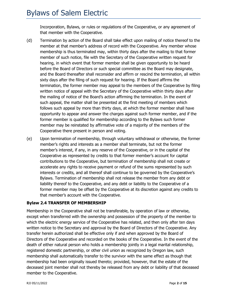Incorporation, Bylaws, or rules or regulations of the Cooperative, or any agreement of that member with the Cooperative.

- (d) Termination by action of the Board shall take effect upon mailing of notice thereof to the member at that member's address of record with the Cooperative. Any member whose membership is thus terminated may, within thirty days after the mailing to that former member of such notice, file with the Secretary of the Cooperative written request for hearing, in which event that former member shall be given opportunity to be heard before the Board of Directors or such special committee as the Board may designate, and the Board thereafter shall reconsider and affirm or rescind the termination, all within sixty days after the filing of such request for hearing. If the Board affirms the termination, the former member may appeal to the members of the Cooperative by filing written notice of appeal with the Secretary of the Cooperative within thirty days after the mailing of notice of the Board's action affirming the termination. In the event of such appeal, the matter shall be presented at the first meeting of members which follows such appeal by more than thirty days, at which the former member shall have opportunity to appear and answer the charges against such former member, and if the former member is qualified for membership according to the Bylaws such former member may be reinstated by affirmative vote of a majority of the members of the Cooperative there present in person and voting.
- (e) Upon termination of membership, through voluntary withdrawal or otherwise, the former member's rights and interests as a member shall terminate, but not the former member's interest, if any, in any reserve of the Cooperative, or in the capital of the Cooperative as represented by credits to that former member's account for capital contributions to the Cooperative, but termination of membership shall not create or accelerate any rights to receive payment or refund of the sums represented by such interests or credits, and all thereof shall continue to be governed by the Cooperative's Bylaws. Termination of membership shall not release the member from any debt or liability thereof to the Cooperative, and any debt or liability to the Cooperative of a former member may be offset by the Cooperative at its discretion against any credits to that member's account with the Cooperative.

#### <span id="page-5-0"></span>**Bylaw 2.4 TRANSFER OF MEMBERSHIP**

Membership in the Cooperative shall not be transferable, by operation of law or otherwise, except when transferred with the ownership and possession of the property of the member to which the electric energy service of the Cooperative has related, and then only after ten days written notice to the Secretary and approval by the Board of Directors of the Cooperative. Any transfer herein authorized shall be effective only if and when approved by the Board of Directors of the Cooperative and recorded on the books of the Cooperative. In the event of the death of either natural person who holds a membership jointly in a legal marital relationship, registered domestic partnership, or other civil union as recognized by Oregon law, such membership shall automatically transfer to the survivor with the same effect as though that membership had been originally issued thereto; provided, however, that the estate of the deceased joint member shall not thereby be released from any debt or liability of that deceased member to the Cooperative.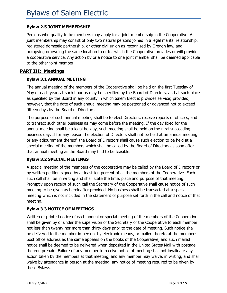#### <span id="page-6-0"></span>**Bylaw 2.5 JOINT MEMBERSHIP**

Persons who qualify to be members may apply for a joint membership in the Cooperative. A joint membership may consist of only two natural persons joined in a legal marital relationship, registered domestic partnership, or other civil union as recognized by Oregon law, and occupying or owning the same location to or for which the Cooperative provides or will provide a cooperative service. Any action by or a notice to one joint member shall be deemed applicable to the other joint member.

#### <span id="page-6-1"></span>**PART III: Meetings**

#### <span id="page-6-2"></span>**Bylaw 3.1 ANNUAL MEETING**

The annual meeting of the members of the Cooperative shall be held on the first Tuesday of May of each year, at such hour as may be specified by the Board of Directors, and at such place as specified by the Board in any county in which Salem Electric provides service; provided, however, that the date of such annual meeting may be postponed or advanced not to exceed fifteen days by the Board of Directors.

The purpose of such annual meeting shall be to elect Directors, receive reports of officers, and to transact such other business as may come before the meeting. If the day fixed for the annual meeting shall be a legal holiday, such meeting shall be held on the next succeeding business day. If for any reason the election of Directors shall not be held at an annual meeting or any adjournment thereof, the Board of Directors shall cause such election to be held at a special meeting of the members which shall be called by the Board of Directors as soon after that annual meeting as the Board may find to be feasible.

#### <span id="page-6-3"></span>**Bylaw 3.2 SPECIAL MEETINGS**

A special meeting of the members of the cooperative may be called by the Board of Directors or by written petition signed by at least ten percent of all the members of the Cooperative. Each such call shall be in writing and shall state the time, place and purpose of that meeting. Promptly upon receipt of such call the Secretary of the Cooperative shall cause notice of such meeting to be given as hereinafter provided. No business shall be transacted at a special meeting which is not included in the statement of purpose set forth in the call and notice of that meeting.

#### <span id="page-6-4"></span>**Bylaw 3.3 NOTICE OF MEETINGS**

Written or printed notice of each annual or special meeting of the members of the Cooperative shall be given by or under the supervision of the Secretary of the Cooperative to each member not less than twenty nor more than thirty days prior to the date of meeting. Such notice shall be delivered to the member in person, by electronic means, or mailed thereto at the member's post office address as the same appears on the books of the Cooperative, and such mailed notice shall be deemed to be delivered when deposited in the United States Mail with postage thereon prepaid. Failure of any member to receive notice of meeting shall not invalidate any action taken by the members at that meeting, and any member may waive, in writing, and shall waive by attendance in person at the meeting, any notice of meeting required to be given by these Bylaws.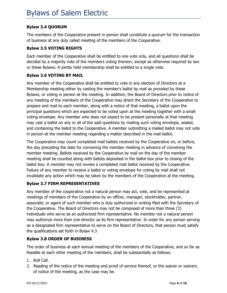#### <span id="page-7-0"></span>**Bylaw 3.4 QUORUM**

The members of the Cooperative present in person shall constitute a quorum for the transaction of business at any duly called meeting of the members of the Cooperative.

#### <span id="page-7-1"></span>**Bylaw 3.5 VOTING RIGHTS**

Each member of the Cooperative shall be entitled to one vote only, and all questions shall be decided by a majority vote of the members voting thereon, except as otherwise required by law or these Bylaws. A jointly held membership shall be entitled to a single vote.

#### <span id="page-7-2"></span>**Bylaw 3.6 VOTING BY MAIL**

Any member of the Cooperative shall be entitled to vote in any election of Directors at a Membership meeting either by casting the member's ballot by mail as provided by these Bylaws, or voting in person at the meeting. In addition, the Board of Directors prior to notice of any meeting of the members of the Cooperative may direct the Secretary of the Cooperative to prepare and mail to each member, along with a notice of that meeting, a ballot upon the principal questions which are expected to be voted upon at the meeting together with a small voting envelope. Any member who does not expect to be present personally at that meeting may cast a ballot on any or all of the said questions by mailing such voting envelope, sealed, and containing the ballot to the Cooperative. A member submitting a mailed ballot may not vote in person at the member meeting regarding a matter described in the mail ballot.

The Cooperative may count completed mail ballots received by the Cooperative on, or before, the day preceding the date for convening the member meeting in advance of convening the member meeting. Ballots received by the Cooperative by mail on the day of the member meeting shall be counted along with ballots deposited in the ballot box prior to closing of the ballot box. A member may not revoke a completed mail ballot received by the Cooperative. Failure of any member to receive a ballot or voting envelope for voting by mail shall not invalidate any action which may be taken by the members of the Cooperative at the meeting.

#### <span id="page-7-3"></span>**Bylaw 3.7 FIRM REPRESENTATIVES**

Any member of the cooperative not a natural person may act, vote, and be represented at meetings of members of the Cooperative by an officer, manager, stockholder, partner, associate, or agent of such member who is duly authorized in writing filed with the Secretary of the Cooperative. The Board of Directors may not be composed of more than three (3) individuals who serve as an authorized firm representative. No member not a natural person may authorize more than one director as its firm representative. In order for any person serving as a designated firm representative to serve on the Board of Directors, that person must satisfy the qualifications set forth in Bylaw 4.3

#### <span id="page-7-4"></span>**Bylaw 3.8 ORDER OF BUSINESS**

The order of business at each annual meeting of the members of the Cooperative, and so far as feasible at each other meeting of the members, shall be substantially as follows:

- 1. Roll Call.
- 2. Reading of the notice of the meeting and proof of service thereof, or the waiver or waivers of notice of the meeting, as the case may be.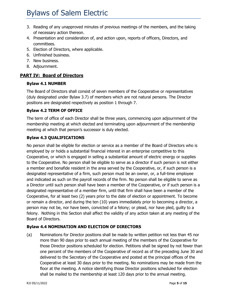- 3. Reading of any unapproved minutes of previous meetings of the members, and the taking of necessary action thereon.
- 4. Presentation and consideration of, and action upon, reports of officers, Directors, and committees.
- 5. Election of Directors, where applicable.
- 6. Unfinished business.
- 7. New business.
- 8. Adjournment.

#### <span id="page-8-0"></span>**PART IV: Board of Directors**

#### <span id="page-8-1"></span>**Bylaw 4.1 NUMBER**

The Board of Directors shall consist of seven members of the Cooperative or representatives (duly designated under Bylaw 3.7) of members which are not natural persons. The Director positions are designated respectively as position 1 through 7.

#### <span id="page-8-2"></span>**Bylaw 4.2 TERM OF OFFICE**

The term of office of each Director shall be three years, commencing upon adjournment of the membership meeting at which elected and terminating upon adjournment of the membership meeting at which that person's successor is duly elected.

#### <span id="page-8-3"></span>**Bylaw 4.3 QUALIFICATIONS**

No person shall be eligible for election or service as a member of the Board of Directors who is employed by or holds a substantial financial interest in an enterprise competitive to this Cooperative, or which is engaged in selling a substantial amount of electric energy or supplies to the Cooperative. No person shall be eligible to serve as a director if such person is not either a member and bonafide resident in the area served by the Cooperative, or, if such person is a designated representative of a firm, such person must be an owner, or, a full-time employee and indicated as such on the payroll records of the firm. No person shall be eligible to serve as a Director until such person shall have been a member of the Cooperative, or if such person is a designated representative of a member firm, until that firm shall have been a member of the Cooperative, for at least two (2) years prior to the date of election or appointment. To become or remain a director, and during the ten (10) years immediately prior to becoming a director, a person may not be, nor have been, convicted of a felony; or plead, nor have pled, guilty to a felony. Nothing in this Section shall affect the validity of any action taken at any meeting of the Board of Directors.

#### <span id="page-8-4"></span>**Bylaw 4.4 NOMINATION AND ELECTION OF DIRECTORS**

(a) Nominations for Director positions shall be made by written petition not less than 45 nor more than 90 days prior to each annual meeting of the members of the Cooperative for those Director positions scheduled for election. Petitions shall be signed by not fewer than one percent of the members of the Cooperative of record as of the preceding June 30 and delivered to the Secretary of the Cooperative and posted at the principal offices of the Cooperative at least 30 days prior to the meeting. No nominations may be made from the floor at the meeting. A notice identifying those Director positions scheduled for election shall be mailed to the membership at least 120 days prior to the annual meeting.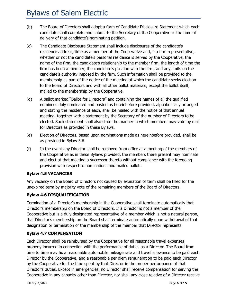- (b) The Board of Directors shall adopt a form of Candidate Disclosure Statement which each candidate shall complete and submit to the Secretary of the Cooperative at the time of delivery of that candidate's nominating petition.
- (c) The Candidate Disclosure Statement shall include disclosures of the candidate's residence address, time as a member of the Cooperative and, if a firm representative, whether or not the candidate's personal residence is served by the Cooperative, the name of the firm, the candidate's relationship to the member firm, the length of time the firm has been a member, the candidate's position with the firm, and any limits on the candidate's authority imposed by the firm. Such information shall be provided to the membership as part of the notice of the meeting at which the candidate seeks election to the Board of Directors and with all other ballot materials, except the ballot itself, mailed to the membership by the Cooperative.
- (d) A ballot marked "Ballot for Directors" and containing the names of all the qualified nominees duly nominated and posted as hereinbefore provided, alphabetically arranged and stating the residence of each, shall be mailed with the notice of that annual meeting, together with a statement by the Secretary of the number of Directors to be elected. Such statement shall also state the manner in which members may vote by mail for Directors as provided in these Bylaws.
- (e) Election of Directors, based upon nominations made as hereinbefore provided, shall be as provided in Bylaw 3.6.
- (f) In the event any Director shall be removed from office at a meeting of the members of the Cooperative as in these Bylaws provided, the members there present may nominate and elect at that meeting a successor thereto without compliance with the foregoing provision with respect to nominations and mailed ballots.

#### <span id="page-9-0"></span>**Bylaw 4.5 VACANCIES**

Any vacancy on the Board of Directors not caused by expiration of term shall be filled for the unexpired term by majority vote of the remaining members of the Board of Directors.

#### <span id="page-9-1"></span>**Bylaw 4.6 DISQUALIFICATION**

Termination of a Director's membership in the Cooperative shall terminate automatically that Director's membership on the Board of Directors. If a Director is not a member of the Cooperative but is a duly designated representative of a member which is not a natural person, that Director's membership on the Board shall terminate automatically upon withdrawal of that designation or termination of the membership of the member that Director represents.

#### <span id="page-9-2"></span>**Bylaw 4.7 COMPENSATION**

Each Director shall be reimbursed by the Cooperative for all reasonable travel expenses properly incurred in connection with the performance of duties as a Director. The Board from time to time may fix a reasonable automobile mileage rate and travel allowance to be paid each Director by the Cooperative, and a reasonable per diem remuneration to be paid each Director by the Cooperative for the time spent by that Director in the proper performance of that Director's duties. Except in emergencies, no Director shall receive compensation for serving the Cooperative in any capacity other than Director, nor shall any close relative of a Director receive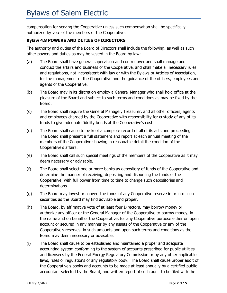compensation for serving the Cooperative unless such compensation shall be specifically authorized by vote of the members of the Cooperative.

#### <span id="page-10-0"></span>**Bylaw 4.8 POWERS AND DUTIES OF DIRECTORS**

The authority and duties of the Board of Directors shall include the following, as well as such other powers and duties as may be vested in the Board by law:

- (a) The Board shall have general supervision and control over and shall manage and conduct the affairs and business of the Cooperative, and shall make all necessary rules and regulations, not inconsistent with law or with the Bylaws or Articles of Association, for the management of the Cooperative and the guidance of the officers, employees and agents of the Cooperative.
- (b) The Board may in its discretion employ a General Manager who shall hold office at the pleasure of the Board and subject to such terms and conditions as may be fixed by the Board.
- (c) The Board shall require the General Manager, Treasurer, and all other officers, agents and employees charged by the Cooperative with responsibility for custody of any of its funds to give adequate fidelity bonds at the Cooperative's cost.
- (d) The Board shall cause to be kept a complete record of all of its acts and proceedings. The Board shall present a full statement and report at each annual meeting of the members of the Cooperative showing in reasonable detail the condition of the Cooperative's affairs.
- (e) The Board shall call such special meetings of the members of the Cooperative as it may deem necessary or advisable.
- (f) The Board shall select one or more banks as depository of funds of the Cooperative and determine the manner of receiving, depositing and disbursing the funds of the Cooperative, with full power from time to time to change such depositories and determinations.
- (g) The Board may invest or convert the funds of any Cooperative reserve in or into such securities as the Board may find advisable and proper.
- (h) The Board, by affirmative vote of at least four Directors, may borrow money or authorize any officer or the General Manager of the Cooperative to borrow money, in the name and on behalf of the Cooperative, for any Cooperative purpose either on open account or secured in any manner by any assets of the Cooperative or any of the Cooperative's reserves, in such amounts and upon such terms and conditions as the Board may deem necessary or advisable.
- (i) The Board shall cause to be established and maintained a proper and adequate accounting system conforming to the system of accounts prescribed for public utilities and licensees by the Federal Energy Regulatory Commission or by any other applicable laws, rules or regulations of any regulatory body. The Board shall cause proper audit of the Cooperative's books and accounts to be made at least annually by a certified public accountant selected by the Board, and written report of such audit to be filed with the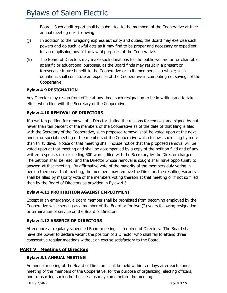Board. Such audit report shall be submitted to the members of the Cooperative at their annual meeting next following.

- (j) In addition to the foregoing express authority and duties, the Board may exercise such powers and do such lawful acts as it may find to be proper and necessary or expedient for accomplishing any of the lawful purposes of the Cooperative.
- (k) The Board of Directors may make such donations for the public welfare or for charitable, scientific or educational purposes, as the Board finds may result in a present or foreseeable future benefit to the Cooperative or to its members as a whole; such donations shall constitute an expense of the Cooperative in computing net savings of the Cooperative.

#### <span id="page-11-0"></span>**Bylaw 4.9 RESIGNATION**

Any Director may resign from office at any time, such resignation to be in writing and to take effect when filed with the Secretary of the Cooperative.

#### <span id="page-11-1"></span>**Bylaw 4.10 REMOVAL OF DIRECTORS**

If a written petition for removal of a Director stating the reasons for removal and signed by not fewer than ten percent of the members of the Cooperative as of the date of that filing is filed with the Secretary of the Cooperative, such proposed removal shall be voted upon at the next annual or special meeting of the members of the Cooperative which follows such filing by more than thirty days. Notice of that meeting shall include notice that the proposed removal will be voted upon at that meeting and shall be accompanied by a copy of the petition filed and of any written response, not exceeding 500 words, filed with the Secretary by the Director charged. The petition shall be read, and the Director whose removal is sought shall have opportunity to answer, at that meeting. By affirmative vote of the majority of the members duly voting in person thereon at that meeting, the members may remove the Director; the resulting vacancy shall be filled by majority vote of the members voting thereon at that meeting or if not so filled then by the Board of Directors as provided in Bylaw 4.5.

#### <span id="page-11-2"></span>**Bylaw 4.11 PROHIBITION AGAINST EMPLOYMENT**

Except in an emergency, a Board member shall be prohibited from becoming employed by the Cooperative while serving as a member of the Board or for two (2) years following resignation or termination of service on the Board of Directors.

#### <span id="page-11-3"></span>**Bylaw 4.12 ABSENCE OF DIRECTORS**

Attendance at regularly scheduled Board meetings is required of Directors. The Board shall have the power to declare vacant the position of a Director who shall fail to attend three consecutive regular meetings without an excuse satisfactory to the Board.

#### <span id="page-11-4"></span>**PART V: Meetings of Directors**

#### <span id="page-11-5"></span>**Bylaw 5.1 ANNUAL MEETING**

An annual meeting of the Board of Directors shall be held within ten days after each annual meeting of the members of the Cooperative, for the purpose of organizing, electing officers, and transacting such other business as may come before the meeting.

RJJ 05/11/2022 Page **8** of **15**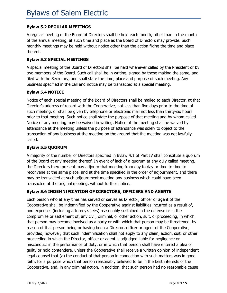#### <span id="page-12-0"></span>**Bylaw 5.2 REGULAR MEETINGS**

A regular meeting of the Board of Directors shall be held each month, other than in the month of the annual meeting, at such time and place as the Board of Directors may provide. Such monthly meetings may be held without notice other than the action fixing the time and place thereof.

#### <span id="page-12-1"></span>**Bylaw 5.3 SPECIAL MEETINGS**

A special meeting of the Board of Directors shall be held whenever called by the President or by two members of the Board. Such call shall be in writing, signed by those making the same, and filed with the Secretary, and shall state the time, place and purpose of such meeting. Any business specified in the call and notice may be transacted at a special meeting.

#### <span id="page-12-2"></span>**Bylaw 5.4 NOTICE**

Notice of each special meeting of the Board of Directors shall be mailed to each Director, at that Director's address of record with the Cooperative, not less than five days prior to the time of such meeting, or shall be given by telephone or electronic mail not less than thirty-six hours prior to that meeting. Such notice shall state the purpose of that meeting and by whom called. Notice of any meeting may be waived in writing. Notice of the meeting shall be waived by attendance at the meeting unless the purpose of attendance was solely to object to the transaction of any business at the meeting on the ground that the meeting was not lawfully called.

#### <span id="page-12-3"></span>**Bylaw 5.5 QUORUM**

A majority of the number of Directors specified in Bylaw 4.1 of Part IV shall constitute a quorum of the Board at any meeting thereof. In event of lack of a quorum at any duly called meeting, the Directors there present may adjourn that meeting from day to day or time to time to reconvene at the same place, and at the time specified in the order of adjournment, and there may be transacted at such adjournment meeting any business which could have been transacted at the original meeting, without further notice.

#### <span id="page-12-4"></span>**Bylaw 5.6 INDEMNIFICATION OF DIRECTORS, OFFICERS AND AGENTS**

Each person who at any time has served or serves as Director, officer or agent of the Cooperative shall be indemnified by the Cooperative against liabilities incurred as a result of, and expenses (including attorney's fees) reasonably sustained in the defense or in the compromise or settlement of, any civil, criminal, or other action, suit, or proceeding, in which that person may become involved as a party or with which that person may be threatened, by reason of that person being or having been a Director, officer or agent of the Cooperative, provided, however, that such indemnification shall not apply to any claim, action, suit, or other proceeding in which the Director, officer or agent is adjudged liable for negligence or misconduct in the performance of duty, or in which that person shall have entered a plea of guilty or nolo contendere, unless the Cooperative shall receive a written opinion of independent legal counsel that (a) the conduct of that person in connection with such matters was in good faith, for a purpose which that person reasonably believed to be in the best interests of the Cooperative, and, in any criminal action, in addition, that such person had no reasonable cause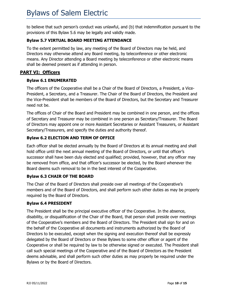to believe that such person's conduct was unlawful, and (b) that indemnification pursuant to the provisions of this Bylaw 5.6 may be legally and validly made.

#### <span id="page-13-0"></span>**Bylaw 5.7 VIRTUAL BOARD MEETING ATTENDANCE**

To the extent permitted by law, any meeting of the Board of Directors may be held, and Directors may otherwise attend any Board meeting, by teleconference or other electronic means. Any Director attending a Board meeting by teleconference or other electronic means shall be deemed present as if attending in person.

#### <span id="page-13-1"></span>**PART VI: Officers**

#### <span id="page-13-2"></span>**Bylaw 6.1 ENUMERATED**

The officers of the Cooperative shall be a Chair of the Board of Directors, a President, a Vice-President, a Secretary, and a Treasurer. The Chair of the Board of Directors, the President and the Vice-President shall be members of the Board of Directors, but the Secretary and Treasurer need not be.

The offices of Chair of the Board and President may be combined in one person, and the offices of Secretary and Treasurer may be combined in one person as Secretary/Treasurer. The Board of Directors may appoint one or more Assistant Secretaries or Assistant Treasurers, or Assistant Secretary/Treasurers, and specify the duties and authority thereof.

#### <span id="page-13-3"></span>**Bylaw 6.2 ELECTION AND TERM OF OFFICE**

Each officer shall be elected annually by the Board of Directors at its annual meeting and shall hold office until the next annual meeting of the Board of Directors, or until that officer's successor shall have been duly elected and qualified; provided, however, that any officer may be removed from office, and that officer's successor be elected, by the Board whenever the Board deems such removal to be in the best interest of the Cooperative.

#### <span id="page-13-4"></span>**Bylaw 6.3 CHAIR OF THE BOARD**

The Chair of the Board of Directors shall preside over all meetings of the Cooperative's members and of the Board of Directors, and shall perform such other duties as may be properly required by the Board of Directors.

#### <span id="page-13-5"></span>**Bylaw 6.4 PRESIDENT**

The President shall be the principal executive officer of the Cooperative. In the absence, disability, or disqualification of the Chair of the Board, that person shall preside over meetings of the Cooperative's members and the Board of Directors. The President shall sign for and on the behalf of the Cooperative all documents and instruments authorized by the Board of Directors to be executed, except when the signing and execution thereof shall be expressly delegated by the Board of Directors or these Bylaws to some other officer or agent of the Cooperative or shall be required by law to be otherwise signed or executed. The President shall call such special meetings of the Cooperative and of the Board of Directors as the President deems advisable, and shall perform such other duties as may properly be required under the Bylaws or by the Board of Directors.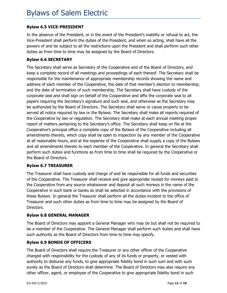#### <span id="page-14-0"></span>**Bylaw 6.5 VICE-PRESIDENT**

In the absence of the President, or in the event of the President's inability or refusal to act, the Vice-President shall perform the duties of the President, and when so acting, shall have all the powers of and be subject to all the restrictions upon the President and shall perform such other duties as from time to time may be assigned by the Board of Directors.

#### <span id="page-14-1"></span>**Bylaw 6.6 SECRETARY**

The Secretary shall serve as Secretary of the Cooperative and of the Board of Directors, and keep a complete record of all meetings and proceedings of each thereof. The Secretary shall be responsible for the maintenance of appropriate membership records showing the name and address of each member of the Cooperative, the date of that member's election to membership, and the date of termination of such membership. The Secretary shall have custody of the corporate seal and shall sign on behalf of the Cooperative and affix the corporate seal to all papers requiring the Secretary's signature and such seal, and otherwise as the Secretary may be authorized by the Board of Directors. The Secretary shall serve or cause properly to be served all notice required by law or the Bylaws. The Secretary shall make all reports required of the Cooperative by law or regulation. The Secretary shall make at each annual meeting proper report of matters pertaining to the Secretary's office. The Secretary shall keep on file at the Cooperative's principal office a complete copy of the Bylaws of the Cooperative including all amendments thereto, which copy shall be open to inspection by any member of the Cooperative at all reasonable hours, and at the expense of the Cooperative shall supply a copy of the Bylaws and all amendments thereto to each member of the Cooperative. In general the Secretary shall perform such duties and functions as from time to time shall be required by the Cooperative or the Board of Directors.

#### <span id="page-14-2"></span>**Bylaw 6.7 TREASURER**

The Treasurer shall have custody and charge of and be responsible for all funds and securities of the Cooperative. The Treasurer shall receive and give appropriate receipt for moneys paid to the Cooperative from any source whatsoever and deposit all such moneys in the name of the Cooperative in such bank or banks as shall be selected in accordance with the provisions of these Bylaws. In general the Treasurer shall perform all the duties incident to the office of Treasurer and such other duties as from time to time may be assigned by the Board of Directors.

#### <span id="page-14-3"></span>**Bylaw 6.8 GENERAL MANAGER**

The Board of Directors may appoint a General Manager who may be but shall not be required to be a member of the Cooperative. The General Manager shall perform such duties and shall have such authority as the Board of Directors from time to time may specify.

#### <span id="page-14-4"></span>**Bylaw 6.9 BONDS OF OFFICERS**

The Board of Directors shall require the Treasurer or any other officer of the Cooperative charged with responsibility for the custody of any of its funds or property, or vested with authority to disburse any funds, to give appropriate fidelity bond in such sum and with such surety as the Board of Directors shall determine. The Board of Directors may also require any other officer, agent, or employee of the Cooperative to give appropriate fidelity bond in such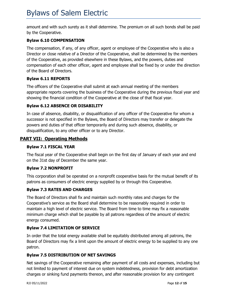amount and with such surety as it shall determine. The premium on all such bonds shall be paid by the Cooperative.

#### <span id="page-15-0"></span>**Bylaw 6.10 COMPENSATION**

The compensation, if any, of any officer, agent or employee of the Cooperative who is also a Director or close relative of a Director of the Cooperative, shall be determined by the members of the Cooperative, as provided elsewhere in these Bylaws, and the powers, duties and compensation of each other officer, agent and employee shall be fixed by or under the direction of the Board of Directors.

#### <span id="page-15-1"></span>**Bylaw 6.11 REPORTS**

The officers of the Cooperative shall submit at each annual meeting of the members appropriate reports covering the business of the Cooperative during the previous fiscal year and showing the financial condition of the Cooperative at the close of that fiscal year.

#### <span id="page-15-2"></span>**Bylaw 6.12 ABSENCE OR DISABILITY**

In case of absence, disability, or disqualification of any officer of the Cooperative for whom a successor is not specified in the Bylaws, the Board of Directors may transfer or delegate the powers and duties of that officer temporarily and during such absence, disability, or disqualification, to any other officer or to any Director.

#### <span id="page-15-3"></span>**PART VII: Operating Methods**

#### <span id="page-15-4"></span>**Bylaw 7.1 FISCAL YEAR**

The fiscal year of the Cooperative shall begin on the first day of January of each year and end on the 31st day of December the same year.

#### <span id="page-15-5"></span>**Bylaw 7.2 NONPROFIT**

This corporation shall be operated on a nonprofit cooperative basis for the mutual benefit of its patrons as consumers of electric energy supplied by or through this Cooperative.

#### <span id="page-15-6"></span>**Bylaw 7.3 RATES AND CHARGES**

The Board of Directors shall fix and maintain such monthly rates and charges for the Cooperative's service as the Board shall determine to be reasonably required in order to maintain a high level of electric service. The Board from time to time may fix a reasonable minimum charge which shall be payable by all patrons regardless of the amount of electric energy consumed.

#### <span id="page-15-7"></span>**Bylaw 7.4 LIMITATION OF SERVICE**

In order that the total energy available shall be equitably distributed among all patrons, the Board of Directors may fix a limit upon the amount of electric energy to be supplied to any one patron.

#### <span id="page-15-8"></span>**Bylaw 7.5 DISTRIBUTION OF NET SAVINGS**

Net savings of the Cooperative remaining after payment of all costs and expenses, including but not limited to payment of interest due on system indebtedness, provision for debt amortization charges or sinking fund payments thereon, and after reasonable provision for any contingent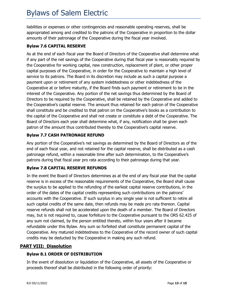liabilities or expenses or other contingencies and reasonable operating reserves, shall be appropriated among and credited to the patrons of the Cooperative in proportion to the dollar amounts of their patronage of the Cooperative during the fiscal year involved.

#### <span id="page-16-0"></span>**Bylaw 7.6 CAPITAL RESERVE**

As at the end of each fiscal year the Board of Directors of the Cooperative shall determine what if any part of the net savings of the Cooperative during that fiscal year is reasonably required by the Cooperative for working capital, new construction, replacement of plant, or other proper capital purposes of the Cooperative, in order for the Cooperative to maintain a high level of service to its patrons. The Board in its discretion may include as such a capital purpose a payment upon or retirement of any system indebtedness or other indebtedness of the Cooperative at or before maturity, if the Board finds such payment or retirement to be in the interest of the Cooperative. Any portion of the net savings thus determined by the Board of Directors to be required by the Cooperative, shall be retained by the Cooperative and added to the Cooperative's capital reserve. The amount thus retained for each patron of the Cooperative shall constitute and be credited to that patron on the Cooperative's books as a contribution to the capital of the Cooperative and shall not create or constitute a debt of the Cooperative. The Board of Directors each year shall determine what, if any, notification shall be given each patron of the amount thus contributed thereby to the Cooperative's capital reserve.

#### <span id="page-16-1"></span>**Bylaw 7.7 CASH PATRONAGE REFUND**

Any portion of the Cooperative's net savings as determined by the Board of Directors as of the end of each fiscal year, and not retained for the capital reserve, shall be distributed as a cash patronage refund, within a reasonable time after such determination, to the Cooperative's patrons during that fiscal year pro rata according to their patronage during that year.

#### <span id="page-16-2"></span>**Bylaw 7.8 CAPITAL RESERVE REFUNDS**

In the event the Board of Directors determines as at the end of any fiscal year that the capital reserve is in excess of the reasonable requirements of the Cooperative, the Board shall cause the surplus to be applied to the refunding of the earliest capital reserve contributions, in the order of the dates of the capital credits representing such contributions on the patrons' accounts with the Cooperative. If such surplus in any single year is not sufficient to retire all such capital credits of the same date, then refunds may be made pro rata thereon. Capital reserve refunds shall not be accelerated upon the death of a member. The Board of Directors may, but is not required to, cause forfeiture to the Cooperative pursuant to the ORS 62.425 of any sum not claimed, by the person entitled thereto, within four years after it became refundable under this Bylaw. Any sum so forfeited shall constitute permanent capital of the Cooperative. Any matured indebtedness to the Cooperative of the record owner of such capital credits may be deducted by the Cooperative in making any such refund.

#### <span id="page-16-3"></span>**PART VIII: Dissolution**

#### <span id="page-16-4"></span>**Bylaw 8.1 ORDER OF DISTRIBUTION**

In the event of dissolution or liquidation of the Cooperative, all assets of the Cooperative or proceeds thereof shall be distributed in the following order of priority: